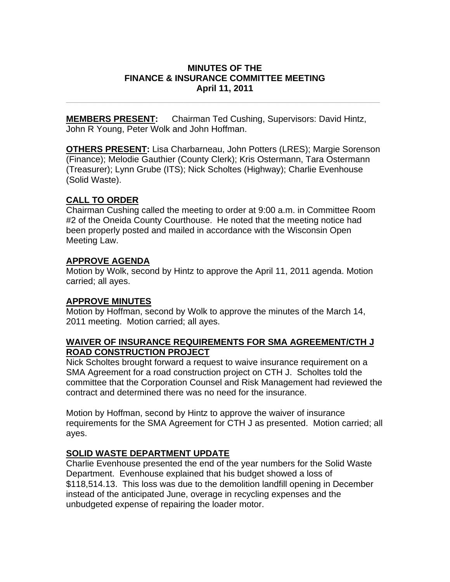## **MINUTES OF THE FINANCE & INSURANCE COMMITTEE MEETING April 11, 2011**

**\_\_\_\_\_\_\_\_\_\_\_\_\_\_\_\_\_\_\_\_\_\_\_\_\_\_\_\_\_\_\_\_\_\_\_\_\_\_\_\_\_\_\_\_\_\_\_\_\_\_\_\_\_\_\_\_\_\_\_\_\_\_\_\_** 

**MEMBERS PRESENT:** Chairman Ted Cushing, Supervisors: David Hintz, John R Young, Peter Wolk and John Hoffman.

**OTHERS PRESENT:** Lisa Charbarneau, John Potters (LRES); Margie Sorenson (Finance); Melodie Gauthier (County Clerk); Kris Ostermann, Tara Ostermann (Treasurer); Lynn Grube (ITS); Nick Scholtes (Highway); Charlie Evenhouse (Solid Waste).

## **CALL TO ORDER**

Chairman Cushing called the meeting to order at 9:00 a.m. in Committee Room #2 of the Oneida County Courthouse. He noted that the meeting notice had been properly posted and mailed in accordance with the Wisconsin Open Meeting Law.

## **APPROVE AGENDA**

Motion by Wolk, second by Hintz to approve the April 11, 2011 agenda. Motion carried; all ayes.

## **APPROVE MINUTES**

Motion by Hoffman, second by Wolk to approve the minutes of the March 14, 2011 meeting. Motion carried; all ayes.

## **WAIVER OF INSURANCE REQUIREMENTS FOR SMA AGREEMENT/CTH J ROAD CONSTRUCTION PROJECT**

Nick Scholtes brought forward a request to waive insurance requirement on a SMA Agreement for a road construction project on CTH J. Scholtes told the committee that the Corporation Counsel and Risk Management had reviewed the contract and determined there was no need for the insurance.

Motion by Hoffman, second by Hintz to approve the waiver of insurance requirements for the SMA Agreement for CTH J as presented. Motion carried; all ayes.

## **SOLID WASTE DEPARTMENT UPDATE**

Charlie Evenhouse presented the end of the year numbers for the Solid Waste Department. Evenhouse explained that his budget showed a loss of \$118,514.13. This loss was due to the demolition landfill opening in December instead of the anticipated June, overage in recycling expenses and the unbudgeted expense of repairing the loader motor.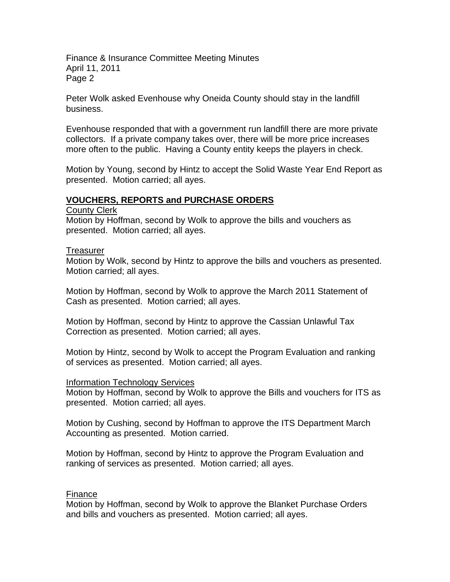Finance & Insurance Committee Meeting Minutes April 11, 2011 Page 2

Peter Wolk asked Evenhouse why Oneida County should stay in the landfill business.

Evenhouse responded that with a government run landfill there are more private collectors. If a private company takes over, there will be more price increases more often to the public. Having a County entity keeps the players in check.

Motion by Young, second by Hintz to accept the Solid Waste Year End Report as presented. Motion carried; all ayes.

## **VOUCHERS, REPORTS and PURCHASE ORDERS**

County Clerk

Motion by Hoffman, second by Wolk to approve the bills and vouchers as presented. Motion carried; all ayes.

#### Treasurer

Motion by Wolk, second by Hintz to approve the bills and vouchers as presented. Motion carried; all ayes.

Motion by Hoffman, second by Wolk to approve the March 2011 Statement of Cash as presented. Motion carried; all ayes.

Motion by Hoffman, second by Hintz to approve the Cassian Unlawful Tax Correction as presented. Motion carried; all ayes.

Motion by Hintz, second by Wolk to accept the Program Evaluation and ranking of services as presented. Motion carried; all ayes.

#### Information Technology Services

Motion by Hoffman, second by Wolk to approve the Bills and vouchers for ITS as presented. Motion carried; all ayes.

Motion by Cushing, second by Hoffman to approve the ITS Department March Accounting as presented. Motion carried.

Motion by Hoffman, second by Hintz to approve the Program Evaluation and ranking of services as presented. Motion carried; all ayes.

#### Finance

Motion by Hoffman, second by Wolk to approve the Blanket Purchase Orders and bills and vouchers as presented. Motion carried; all ayes.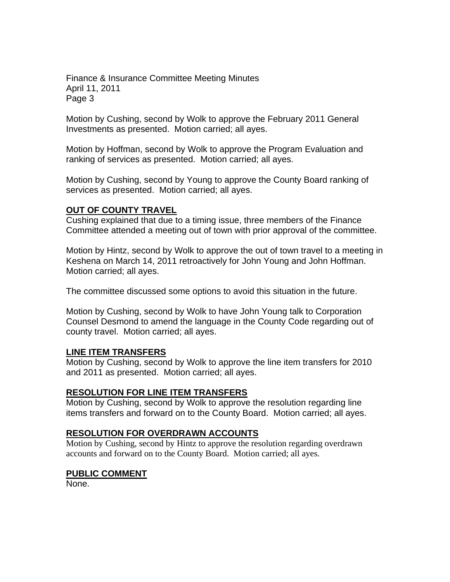Finance & Insurance Committee Meeting Minutes April 11, 2011 Page 3

Motion by Cushing, second by Wolk to approve the February 2011 General Investments as presented. Motion carried; all ayes.

Motion by Hoffman, second by Wolk to approve the Program Evaluation and ranking of services as presented. Motion carried; all ayes.

Motion by Cushing, second by Young to approve the County Board ranking of services as presented. Motion carried; all ayes.

#### **OUT OF COUNTY TRAVEL**

Cushing explained that due to a timing issue, three members of the Finance Committee attended a meeting out of town with prior approval of the committee.

Motion by Hintz, second by Wolk to approve the out of town travel to a meeting in Keshena on March 14, 2011 retroactively for John Young and John Hoffman. Motion carried; all ayes.

The committee discussed some options to avoid this situation in the future.

Motion by Cushing, second by Wolk to have John Young talk to Corporation Counsel Desmond to amend the language in the County Code regarding out of county travel. Motion carried; all ayes.

#### **LINE ITEM TRANSFERS**

Motion by Cushing, second by Wolk to approve the line item transfers for 2010 and 2011 as presented. Motion carried; all ayes.

#### **RESOLUTION FOR LINE ITEM TRANSFERS**

Motion by Cushing, second by Wolk to approve the resolution regarding line items transfers and forward on to the County Board. Motion carried; all ayes.

## **RESOLUTION FOR OVERDRAWN ACCOUNTS**

Motion by Cushing, second by Hintz to approve the resolution regarding overdrawn accounts and forward on to the County Board. Motion carried; all ayes.

#### **PUBLIC COMMENT**

None.